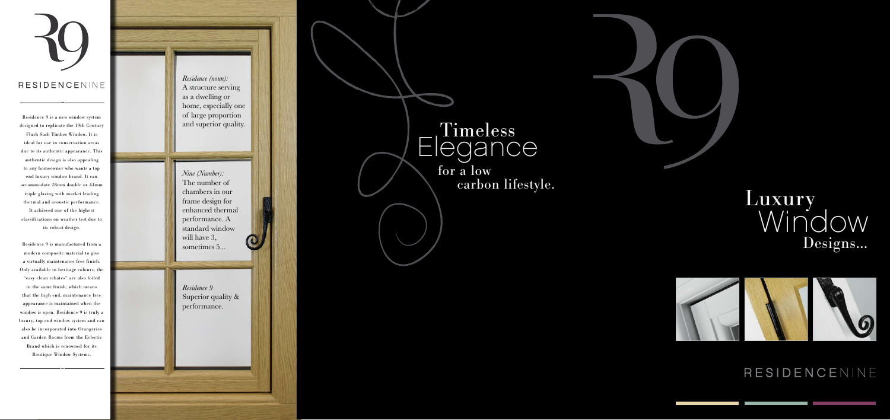#### RESIDENCENINE

Residence 9 is a new window system designed to replicate the 19th Century Flush Sash Timber Window. It is ideal for use in conservation areas due to its authentic appearance. This authentic design is also appealing to any homeowner who wants a top end luxury window brand. It can accommodate 28mm double or 44mm triple glazing with market leading thermal and acoustic performance. It achieved one of the highest classifications on weather test due to its robust design.

## Luxury<br>Window Designs…



#### RESIDENCENINE

Residence 9 is manufactured from a modern composite material to give a virtually maintenance free finish. Only available in heritage colours, the "easy clean rebates" are also foiled in the same finish, which means that the high end, maintenance free appearance is maintained when the window is open. Residence 9 is truly a luxury, top end window system and can also be incorporated into Orangeries and Garden Rooms from the Eclectic Brand which is renowned for its Boutique Window Systems.

 for a low carbon lifestyle.

*Residence 9* Superior quality & performance.



# Elegance

*Nine (Number):* The number of chambers in our frame design for enhanced thermal performance. A standard window will have 3. sometimes 5...

*Residence (noun):* A structure serving as a dwelling or home, especially one of large proportion and superior quality.